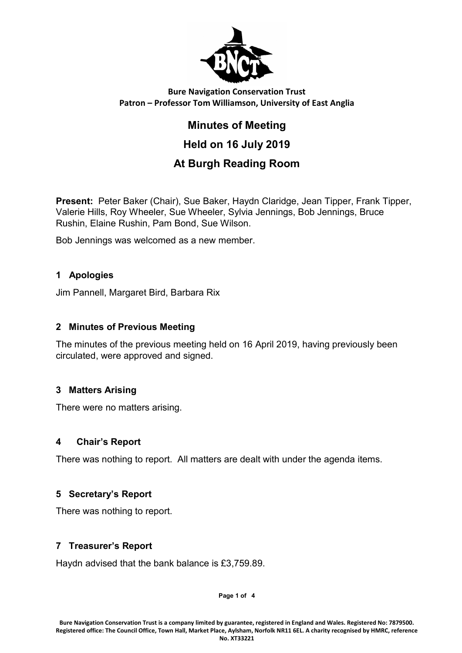

## Bure Navigation Conservation Trust Patron – Professor Tom Williamson, University of East Anglia

# Minutes of Meeting Held on 16 July 2019

## At Burgh Reading Room

Present: Peter Baker (Chair), Sue Baker, Haydn Claridge, Jean Tipper, Frank Tipper, Valerie Hills, Roy Wheeler, Sue Wheeler, Sylvia Jennings, Bob Jennings, Bruce Rushin, Elaine Rushin, Pam Bond, Sue Wilson.

Bob Jennings was welcomed as a new member.

## 1 Apologies

Jim Pannell, Margaret Bird, Barbara Rix

## 2 Minutes of Previous Meeting

The minutes of the previous meeting held on 16 April 2019, having previously been circulated, were approved and signed.

## 3 Matters Arising

There were no matters arising.

## 4 Chair's Report

There was nothing to report. All matters are dealt with under the agenda items.

## 5 Secretary's Report

There was nothing to report.

## 7 Treasurer's Report

Haydn advised that the bank balance is £3,759.89.

Page 1 of 4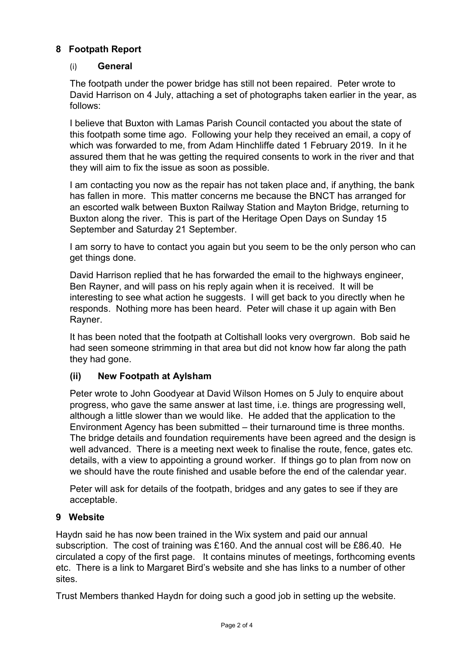## 8 Footpath Report

#### (i) General

The footpath under the power bridge has still not been repaired. Peter wrote to David Harrison on 4 July, attaching a set of photographs taken earlier in the year, as follows:

I believe that Buxton with Lamas Parish Council contacted you about the state of this footpath some time ago. Following your help they received an email, a copy of which was forwarded to me, from Adam Hinchliffe dated 1 February 2019. In it he assured them that he was getting the required consents to work in the river and that they will aim to fix the issue as soon as possible.

I am contacting you now as the repair has not taken place and, if anything, the bank has fallen in more. This matter concerns me because the BNCT has arranged for an escorted walk between Buxton Railway Station and Mayton Bridge, returning to Buxton along the river. This is part of the Heritage Open Days on Sunday 15 September and Saturday 21 September.

I am sorry to have to contact you again but you seem to be the only person who can get things done.

David Harrison replied that he has forwarded the email to the highways engineer, Ben Rayner, and will pass on his reply again when it is received. It will be interesting to see what action he suggests. I will get back to you directly when he responds. Nothing more has been heard. Peter will chase it up again with Ben Rayner.

It has been noted that the footpath at Coltishall looks very overgrown. Bob said he had seen someone strimming in that area but did not know how far along the path they had gone.

## (ii) New Footpath at Aylsham

Peter wrote to John Goodyear at David Wilson Homes on 5 July to enquire about progress, who gave the same answer at last time, i.e. things are progressing well, although a little slower than we would like. He added that the application to the Environment Agency has been submitted – their turnaround time is three months. The bridge details and foundation requirements have been agreed and the design is well advanced. There is a meeting next week to finalise the route, fence, gates etc. details, with a view to appointing a ground worker. If things go to plan from now on we should have the route finished and usable before the end of the calendar year.

Peter will ask for details of the footpath, bridges and any gates to see if they are acceptable.

## 9 Website

Haydn said he has now been trained in the Wix system and paid our annual subscription. The cost of training was £160. And the annual cost will be £86.40. He circulated a copy of the first page. It contains minutes of meetings, forthcoming events etc. There is a link to Margaret Bird's website and she has links to a number of other sites.

Trust Members thanked Haydn for doing such a good job in setting up the website.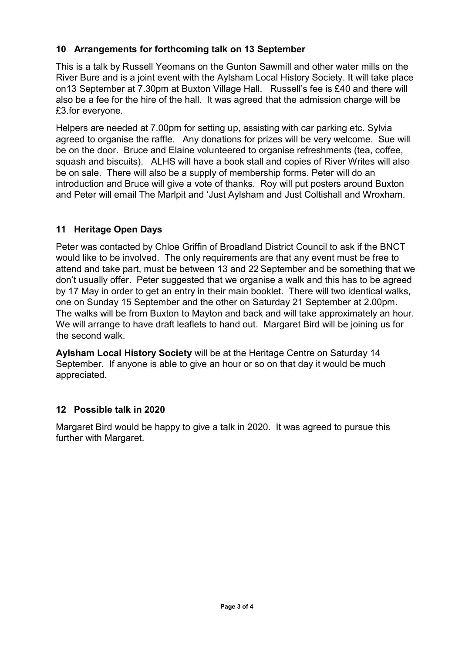## 10 Arrangements for forthcoming talk on 13 September

This is a talk by Russell Yeomans on the Gunton Sawmill and other water mills on the River Bure and is a joint event with the Aylsham Local History Society. It will take place on13 September at 7.30pm at Buxton Village Hall. Russell's fee is £40 and there will also be a fee for the hire of the hall. It was agreed that the admission charge will be £3.for everyone.

Helpers are needed at 7.00pm for setting up, assisting with car parking etc. Sylvia agreed to organise the raffle. Any donations for prizes will be very welcome. Sue will be on the door. Bruce and Elaine volunteered to organise refreshments (tea, coffee, squash and biscuits). ALHS will have a book stall and copies of River Writes will also be on sale. There will also be a supply of membership forms. Peter will do an introduction and Bruce will give a vote of thanks. Roy will put posters around Buxton and Peter will email The Marlpit and 'Just Aylsham and Just Coltishall and Wroxham.

## 11 Heritage Open Days

Peter was contacted by Chloe Griffin of Broadland District Council to ask if the BNCT would like to be involved. The only requirements are that any event must be free to attend and take part, must be between 13 and 22 September and be something that we don't usually offer. Peter suggested that we organise a walk and this has to be agreed by 17 May in order to get an entry in their main booklet. There will two identical walks, one on Sunday 15 September and the other on Saturday 21 September at 2.00pm. The walks will be from Buxton to Mayton and back and will take approximately an hour. We will arrange to have draft leaflets to hand out. Margaret Bird will be joining us for the second walk.

Aylsham Local History Society will be at the Heritage Centre on Saturday 14 September. If anyone is able to give an hour or so on that day it would be much appreciated.

## 12 Possible talk in 2020

Margaret Bird would be happy to give a talk in 2020. It was agreed to pursue this further with Margaret.